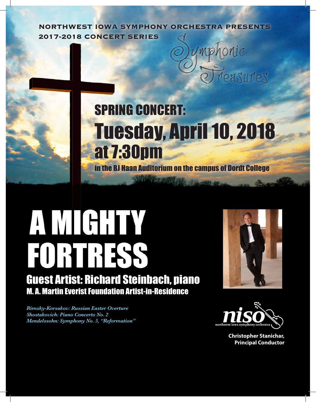**NORTHWEST IOWA SYMPHONY ORCHESTRA PRESENTS 2017-2018 CONCERT SERIES**

# SPRING CONCERT: Tuesday, April 10, 2018 at 7:30pm in the BJ Haan Auditorium on the campus of Dordt College

# **AMGHTY** FORTRESS Guest Artist: Richard Steinbach, piano

M. A. Martin Everist Foundation Artist-in-Residence

*Rimsky-Korsakov: Russian Easter Overture Shostakovich: Piano Concerto No. 2 Mendelssohn: Symphony No. 5, "Reformation"*



easures



**Christopher Stanichar, Principal Conductor**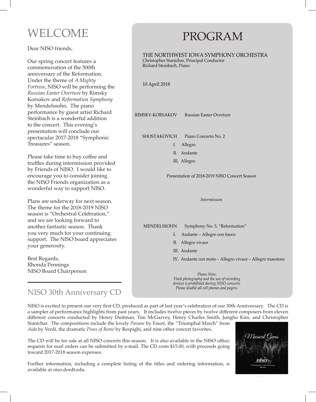# WELCOME

Dear NISO friends,

Our spring concert features a commemoration of the 500th anniversary of the Reformation. Under the theme of *A Mighty Fortress*, NISO will be performing the *Russian Easter Overture* by Rimsky Korsakov and *Reformation Symphony* by Mendelssohn. The piano performance by guest artist Richard Steinbach is a wonderful addition to the concert. This evening's presentation will conclude our spectacular 2017-2018 "Symphonic Treasures" season.

Please take time to buy coffee and truffles during intermission provided by Friends of NISO. I would like to encourage you to consider joining the NISO Friends organization as a wonderful way to support NISO.

Plans are underway for next season. The theme for the 2018-2019 NISO season is "Orchestral Celebration," and we are looking forward to another fantastic season. Thank you very much for your continuing support. The NISO board appreciates your generosity.

Best Regards, Rhonda Pennings NISO Board Chairperson

### NISO 30th Anniversary CD

#### NISO is excited to present our very first CD, produced as part of last year's celebration of our 30th Anniversary. The CD is a sampler of performance highlights from past years. It includes twelve pieces by twelve different composers from eleven different concerts conducted by Henry Duitman, Tim McGarvey, Henry Charles Smith, Jungho Kim, and Christopher Stanichar. The compositions include the lovely *Pavane* by Fauré, the "Triumphal March" from Anniversary. Th

*Aida* by Verdi, the dramatic *Pines of Rome* by Respighi, and nine other concert favorites. *Please Note:*

The CD will be for sale at all NISO concerts this season. It is also available in the NISO office; requests for mail orders can be submitted by e-mail. The CD costs \$15.00, with proceeds going *Please disable all cell phones and pagers.* toward 2017-2018 season expenses. *devices is prohibited during NISO concerts.*

Further information, including a complete listing of the titles and ordering information, is available at niso.dordt.edu.

### PROGRAM Programme and the set of the set of the set of the set of the set of the set of the set of the set of the set o

THE NORTHWEST IOWA SYMPHONY ORCHESTRA Christopher Stanichar, Principal Conductor Richard Steinbach, Piano

10 April 2018 I. Allegro

RIMSKY-KORSAKOV Russian Easter Overture

SHOSTAKOVICH Piano Concerto No. 2

- I. Allegro
- II. Andante
- III. Allegro

Presentation of 2018-2019 NISO Concert Season

*Intermission* IV. Andante con moto – Allegro vivace – Allegro vivace – Allegro vivace – Allegro vivace – Allegro vivace – Al

 $W = W$ with the theme  $B$  is for  $B$  is for  $B$  is for  $B$  is for  $B$ MENDELSSOHN Symphony No. 5, "Reformation"

- Bernstein, and Borodin. We look forward to hearing segments by guest artist Douglas Yeo, bass trombone, and the Dordt College choirs. This is just the beginning of our outstanding season with I. Andante – Allegro con fuoco
- II. Allegro vivace
- III. Andante
- IV. Andante con moto Allegro vivace Allegro maestoso  $\frac{m}{\sqrt{2}}$  and  $\frac{m}{\sqrt{2}}$  in the stress will be noted that  $\frac{m}{\sqrt{2}}$

on "Romancing the Violin," featuring Jessica Mathaes on violin. It will be an evening of inspiration and *Flash photography and the use of recording*  $r$ ts.  $\blacksquare$  $C$ *Please Note: devices is prohibited during NISO concerts. Please disable all cell phones and pagers.*



 $W_{\rm eff} = 0.000$ 

We are excited to once again have the Celebrity Conductor Contest during our Winter Pops Concert on

will have the honor of conducting a musical piece after intermission. The Winter Pops Concert will center with

Further information, including a complete listing of the titles and ordering information, is available at

wonderful treasures from the orchestra and guest artists.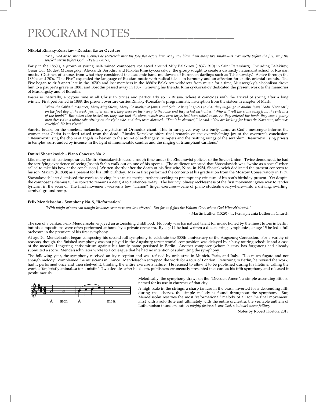## PROGRAM NOTES\_\_\_\_\_\_\_\_\_\_\_\_\_\_\_\_\_\_ PROGRAM NOTES\_\_\_\_\_\_\_\_\_\_\_\_\_\_\_\_\_

#### **Nikolai Rimsky-Korsakov - Russian Easter Overture**

*"May God arise, may his enemies be scattered; may his foes flee before him. May you blow them away like smoke—as wax melts before the fire, may the wicked perish before God." (Psalm 68:1-2)*

Early in the 1860's, a group of young, self-trained composers coalesced around Mily Balakirev (1837-1910) in Saint Petersburg. Including Balakirev, Cesar Cui, Modest Mussorgsky, Alexsandr Borodin, and Nikolai Rimsky-Korsakov, the group sought to create a distinctly nationalist school of Russian music. (Distinct, of course, from what they considered the academic hand-me-downs of European darlings such as Tchaikovsky.) Active through the 1860's and 70's, "The Five" expanded the language of Russian music with radical ideas on harmony and an affection for exotic, oriental sounds. The Five began to drift apart late in the 1870's and lost members in the 1880's: Balakirev withdrew from music for a time, Mussorgsky's alcoholism drove him to a pauper's grave in 1881, and Borodin passed away in 1887. Grieving his friends, Rimsky-Korsakov dedicated the present work to the memories of Mussorgsky and of Borodin.

Easter is, naturally, a joyous time in all Christian circles and particularly so in Russia, where it coincides with the arrival of spring after a long winter. First performed in 1888, the present overture carries Rimsky-Korsakov's programmatic inscription from the sixteenth chapter of Mark:

*When the Sabbath was over, Mary Magdalene, Mary the mother of James, and Salome bought spices so that they might go to anoint Jesus' body. Very early on the first day of the week, just after sunrise, they were on their way to the tomb and they asked each other, "Who will roll the stone away from the entrance of the tomb?" But when they looked up, they saw that the stone, which was very large, had been rolled away. As they entered the tomb, they saw a young man dressed in a white robe sitting on the right side, and they were alarmed. "Don't be alarmed," he said. "You are looking for Jesus the Nazarene, who was crucified. He has risen!"*

Sunrise breaks on the timeless, melancholy mysticism of Orthodox chant. This in turn gives way to a burly dance as God's messenger informs the women that Christ is indeed raised from the dead. Rimsky-Korsakov offers final remarks on the overwhelming joy of the overture's conclusion: "'Resurrexit!' sing the choirs of angels in heaven to the sound of archangels' trumpets and the rustling wings of the seraphim. 'Resurrexit!' sing priests in temples, surrounded by incense, in the light of innumerable candles and the ringing of triumphant carillons."

#### **Dmitri Shostakovich - Piano Concerto No. 2**

Like many of his contemporaries, Dmitri Shostakovich faced a rough time under the Zhdanovist policies of the Soviet Union. Twice denounced, he had the terrifying experience of seeing Joseph Stalin walk out on one of his operas. (The audience reported that Shostakovich was "white as a sheet" when called to take his bow at the conclusion.) Written shortly after the death of his first wife, Nina, in 1954, Shostakovich dedicated the present concerto to his son, Maxim (b.1938) as a present for his 19th birthday. Maxim first performed the concerto at his graduation from the Moscow Conservatory in 1957.

Shostakovich later dismissed the work as having "no artistic merit," perhaps seeking to preempt any criticism of his son's birthday present. Yet despite the composer's dismissal, the concerto remains a delight to audiences today. The bouncy, bluesy recklessness of the first movement gives way to tender lyricism in the second. The final movement weaves a few "Hanon" finger exercises—bane of piano students everywhere—into a driving, swirling, carnival-ground romp.

#### **Felix Mendelssohn - Symphony No. 5, "Reformation"**

*"With might of ours can naught be done; soon were our loss effected. But for us fights the Valiant One, whom God Himself elected."*

- Martin Luther (1529) - tr. Pennsylvania Lutheran Church

The son of a banker, Felix Mendelssohn enjoyed an astonishing childhood: Not only was his natural talent for music honed by the finest tutors in Berlin, but his compositions were often performed at home by a private orchestra. By age 14 he had written a dozen string symphonies; at age 15 he led a full orchestra in the premiere of his first symphony.

At age 20, Mendelssohn began composing his second full symphony to celebrate the 300th anniversary of the Augsburg Confession. For a variety of reasons, though, the finished symphony was not played in the Augsburg tercentennial: composition was delayed by a busy touring schedule and a case of the measles. Lingering antisemitism against his family name persisted in Berlin. Another composer (whom history has forgotten) had already submitted a score. Mendelssohn later wrote to a colleague that he had no intention of submitting the symphony.

The following year, the symphony received an icy reception and was refused by orchestras in Munich, Paris, and Italy. "Too much fugato and not enough melody," complained the musicians in France. Mendelssohn scrapped the work for a tour of London. Returning to Berlin, he revised the work, had it performed once and then shelved it, thinking the entire exercise a failure. He refused to allow it to be published during his lifetime, calling the work a "fat, bristly animal...a total misfit." Two decades after his death, publishers erroneously presented the score as his fifth symphony and released it posthumously.



Melodically, the symphony draws on the "Dresden Amen", a simple ascending fifth so named for its use in churches of that city.

A high scale in the strings, a sharp fanfare in the brass, inverted for a descending fifth during the scherzo, the simple melody is found throughout the symphony. But, Mendelssohn reserves the most "reformational" melody of all for the final movement. First with a solo flute and ultimately with the entire orchestra, the veritable anthem of Lutheranism thunders out: *A mighty fortress is our God, a bulwark never failing.*

Notes by Robert Horton, 2018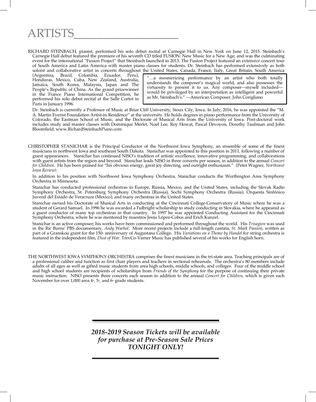# ARTISTS\_\_\_\_\_\_\_\_\_\_\_\_\_\_\_\_\_\_ ARTISTS\_\_\_\_\_\_\_\_\_\_\_\_\_\_\_\_\_\_\_\_\_\_\_\_\_

RICHARD STEINBACH, pianist, performed his solo debut recital at Carnegie Hall in New York on June 12, 2015. Steinbach's Carnegie Hall debut featured the premiere of his seventh CD titled FUSION: New Music for a New Age, and was the culminating event for the international "Fusion Project" that Steinbach launched in 2013. The Fusion Project featured an extensive concert tour of South America and Latin America with master piano classes for students. Dr. Steinbach has performed extensively as both soloist and collaborative artist in concerts throughout the United States, Canada, France, Italy, Great Britain, South America

(Argentina, Brazil, Colombia, Ecuador, Peru), Honduras, Mexico, Cuba, New Zealand, Australia, Jamaica, South Korea, Malaysia, Japan and The People's Republic of China. As the grand prizewinner in the France Piano International Competition, he performed his solo debut recital at the Salle Cortot in Paris in January 1996.

"…a mesmerizing performance by an artist who both totally understands the composer's magical world, and also possesses the virtuosity to present it to us. Any composer—myself included would be privileged by an interpretation as intelligent and powerful as Mr. Steinbach's." —American Composer, John Corigliano

Paris in January 1996.<br>Dr. Steinbach is currently a Professor of Music at Briar Cliff University, Sioux City, Iowa. In July, 2016, he was appointed the "M.<br>A Martin Everist Foundation Artist in Bosidance" at the university A. Martin Evenst Foundation Artist-in-Residence "at the university. He holds degrees in plano performance from the University of Iowa. Post-doctoral work includes study and master classes with Dominique Merlet, Noel Lee, Roy Howat, Pascal Devoyon, Dorothy Taubman and John Bloomfield. www.RichardSteinbachPiano.com A. Martin Everist Foundation Artist-in-Residence" at the university. He holds degrees in piano performance from the University of

CHRISTOPHER STANICHAR is the Principal Conductor of the Northwest Iowa Symphony, an ensemble of some of the finest musicians in northwest Iowa and southeast South Dakota. Stanichar was appointed to this position in 2011, following a number of guest appearances. Stanichar has continued NISO's tradition of artistic excellence, innovative programming, and collaborations with guest artists from the region and beyond. Stanichar leads NISO in three concerts per season, in addition to the annual *Concert for Children*. He has been praised for "his obvious energy, great joy directing, and outright enthusiasm." (Peter Wagner*, Northwest Iowa Review)*.

In addition to his position with Northwest Iowa Symphony Orchestra, Stanichar conducts the Worthington Area Symphony Christopher Stanichar, Conductor Orchestra in Minnesota.

Stanichar has conducted professional orchestras in Europe, Russia, Mexico, and the United States, including the Slovak Radio Symphony Orchestra, St. Petersburg Symphony Orchestra (Russia), Sochi Symphony Orchestra (Russia), Orquesta Sinfónico Juvenil del Estado de Veracruze (Mexico), and many orchestras in the United States.

Stanichar earned his Doctorate of Musical Arts in conducting at the Cincinnati College-Conservatory of Music where he was a a guest conductor of many top orchestras in that country. In 1997 he was appointed Conducting Assistant for the Cincinnati Symphony Orchestra, where he was mentored by maestros Jesús López-Cobos and Erich Kunzel.<br>. student of Gerard Samuel. In 1996 he was awarded a Fulbright scholarship to study conducting in Slovakia, where he appeared as

Stanichar is an active composer; his works have been commissioned and performed throughout the world. His *Trisagion* was used amentary, *Anay warnol.* More recent projects include<br>or the <sup>150</sup> environment of Augustane College. His *Va*r of the 190° anniversary of Augustana Conege. This va<br>of film *Duet of War* TroyCo-Varner Music has muhlish featured in the independent film*, Dust of War.* TrevCo-Varner Music has published several of his works for English horn.<br> in the Ric Burns' PBS documentary, *Andy Warhol*. More recent projects include a full-length cantata, *St. Mark Passion*, written as part of a Granskou grant for the 150<sub>°</sub> anniversary of Augustana College. His *Variations on a Theme by Handel* for string orchestra is

Bert Van Batavia – Boyden THE NORTHWEST IOWA SYMPHONY ORCHESTRA comprises the finest musicians in the tri-state area. Teaching principals are of a professional caliber and function as first chair players and teachers in sectional rehearsals. The orchestra's 80 members include<br>adults of all ages as well as gifted music students from area bigh schools, middle schools addities of an ages as wen as given music students from area right schools, induce senools, and coneges. Four or the inidate school students are recipients of scholarships from *Friends of the Symphony* for the purpose o music instruction. NISO presents three concerts each season in addition to the annual *Concert for Children,* which is given each adults of all ages as well as gifted music students from area high schools, middle schools, and colleges. Four of the middle school November for over 1,000 area  $4<sup>th</sup>$ , 5<sup>th</sup>, and 6<sup>th</sup> grade students.

> *2018-2019 Season Tickets will be available for purchase at Pre-Season Sale Prices TONIGHT ONLY!*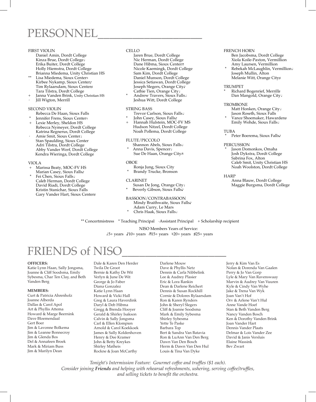### PERSONNEL\_\_\_\_\_\_\_\_\_\_\_\_\_\_\_\_\_\_ PERSONNEL\_\_\_\_\_\_\_\_\_\_\_\_\_\_\_\_\_\_\_\_\_\_\_ David Riadi, Dordt College L ERJUNIN

#### FIRST VIOLIN

- Daniel Amin, Dordt College Kinza Brue, Dordt College**♩** Erika Buiter, Dordt College Holly Hiemstra, Dordt College Brianna Miedema, Unity Christian HS
- Lisa Miedema, Sioux Center Kirbee Nykamp, Sioux Center♪ Tim Rylaarsdam, Sioux Center♯ Tara Tilstra, Dordt College
- Janna Vanden Brink, Unity Christian HS Jill Wigton, Merrill

#### SECOND VIOLIN

- Rebecca De Haan, Sioux Falls
- Jennifer Frens, Sioux Center
- Lexie Merley, Sheldon HS Rebecca Nymeyer, Dordt College Katrina Regnerus, Dordt College<br>Amie Smit, Sioux Center<sup>1</sup>
- Stan Spaulding, Sioux Center Adri Tilstra, Dordt College Abby Vander Werf, Dordt College Kendra Wieringa, Dordt College

#### VIOLA

- + Marissa Beaty, MOC-FV HS Marian Casey, Sioux Falls♪
- \* Fei Chen, Sioux Falls**♩** Caleb Herman, Dordt College David Riadi, Dordt College Kristin Stanichar, Sioux Falls Gary Vander Hart, Sioux Center♯

#### CELLO  $\mathbb{R}^{\text{H}}$  Falls

- Jaren Brue, Dordt College Adam Curry, Le Mars Nic Herman, Dordt College Dane Hibma, Sioux Center**♬** Nicole Kaemingk, Dordt College Sam Kim, Dordt College Daniel Munson, Dordt College Jessica Setiawan, Dordt College Joseph Slegers, Orange City♪ Cathie Tien, Orange City**♩** \* Chris Haak, Sioux Falls**♩**
	- \* Andrew Travers, Sioux Falls**♩** Jeshua Witt, Dordt College

#### STRING BASS

- Trevor Carlson, Sioux Falls**♩**
- John Casey, Sioux Falls♪
- Hannah Hulstein, MOC-FV MS Hudson Nitzel, Dordt College Noah Pollema, Dordt College

#### FLUTE/PICCOLO

- Shannon Abels, Sioux Falls**♩** \* Anna Davis, Spencer**♩**
- Sue De Haan, Orange City**♬**

#### OBOE

- Ronja Jung, Sioux City
- Brandy Trucke, Bronson

#### CLARINET

 Susan De Jong, Orange City**♩** Beverly Gibson, Sioux Falls

### BASSOON/CONTRABASSOON

#### Mindy Braithwaite, Sioux Falls♪ Adam Curry, Le Mars

\* Chris Haak, Sioux Falls**♩**

#### FRENCH HORN Ben Jacobsma, Dordt College

Xiola Koile-Paxton, Vermillion Amy Laursen, Vermillion

\* Rebekah McLaughlin, Vermillion**♩** Joseph Mullin, Alton Melanie Witt, Orange City♯

#### TRUMPET

Richard Bogenrief, Merrill<sup>#</sup> Dan Mangold, Orange City**♩**

#### **TROMBONE**

Matt Honken, Orange City**♩** Jason Roseth, Sioux Falls

Vance Shoemaker, Hawarden<sup>#</sup> Emily Wehde, Sioux Falls**♩**

#### **TUBA**

Peter Boerema, Sioux Falls♪

#### PERCUSSION

Jason Domonkos, Omaha Josh Dykstra, Dordt College Sabrina Fox, Alton Caleb Smit, Unity Christian HS Noah Woolston, Dordt College

#### **HARP**

Anna Blauw, Dordt College Maggie Burgsma, Dordt College

\*\* Concertmistress \* Teaching Principal Assistant Principal + Scholarship recipient

NISO Members Years of Service: **♩**5+ years ♪10+ years **♬**15+ years ♮20+ years ♯25+ years

# FRIENDS of NISC

#### **OFFICERS:**

Katie Lynn Haan, Sally Jongsma, Joanne & Cliff Soodsma, Emily Sybesma, Char Ten Clay, and Beth Vanden Berg

#### **MEMBERS:**

Curt & Patricia Ahrenholz Joanne Alberda Dallas & Carol Apol Art & Phyllis Attema Howard & Marge Beernink Dave Bloemendaal Gert Boer Jim & Lavonne Bolkema Jim & Leanne Bonnecroy Jim & Glenda Bos Del & Annafeen Broek Mark & Miriam Buss Jim & Marilyn Dean

Dale & Karen Den Herder Twila De Groot Bernie & Kathy De Wit Verlyn & June De Wit George & Jo Faber Diana Gonzalez Katie Lynn Haan Howard & Vicki Hall Greg & Laura Haverdink Daryl & Deb Hibma Gregg & Brenda Hooyer Gerald & Shirley Isakson Calvin & Sally Jongsma Carl & Ellen Klompien Arnold & Carol Koekkoek James & Sally Koldenhoven Henry & Dee Kramer John & Betty Kreykes Shirley Matheis Rockne & Joan McCarthy

Darlene Mouw Dave & Phyllis Netz Dennis & Carla Nibbelink Lee & Audrey Plasier Eric & Lora Rankin Dean & Darlene Reichert Dennis & Susan Rockhill Cornie & Dolores Rylaarsdam Ron & Karen Rynders John & Sheryl Slegers Cliff & Joanne Soodsma Mark & Emily Sybesma Shirley Sybesma Yette Te Paske Barbara Top Bert & Sandra Van Batavia Ron & LuAnn Van Den Berg Dawn Van Den Bosch Herm & Dawn Van Den Hul Louis & Tina Van Dyke

Jerry & Kim Van Es Nolan & Dorenda Van Gaalen Perry & Jo Van Gorp Lyle & Mary Van Ravenswaay Marvin & Audrey Van Vuuren Kyle & Cindy Van Wyhe Jake & Trena Van Wyk Joan Van't Hof Orv & Arlene Van't Hul Anne Vande Hoef Stan & Beth Vanden Berg Nancy Vanden Bosch Ken & Dorothy Vanden Brink Joan Vander Hart Dennis Vander Plaats Delmar & Lois Vander Zee David & Janis Versluis Elaine Wassink Bev Zwart

*Tonight's Intermission Feature: Gourmet coffee and truffles (\$1 each). Consider joining Friends and helping with rehearsal refreshments, ushering, serving coffee/truffles,* and selling tickets to benefit the orchestra.